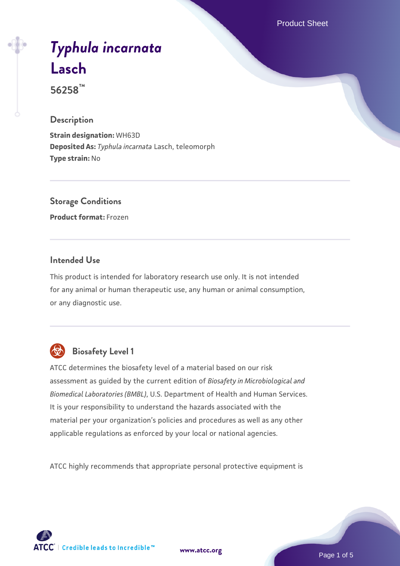Product Sheet

# *[Typhula incarnata](https://www.atcc.org/products/56258)* **[Lasch](https://www.atcc.org/products/56258)**

**56258™**

#### **Description**

**Strain designation:** WH63D **Deposited As:** *Typhula incarnata* Lasch, teleomorph **Type strain:** No

# **Storage Conditions**

**Product format:** Frozen

#### **Intended Use**

This product is intended for laboratory research use only. It is not intended for any animal or human therapeutic use, any human or animal consumption, or any diagnostic use.



# **Biosafety Level 1**

ATCC determines the biosafety level of a material based on our risk assessment as guided by the current edition of *Biosafety in Microbiological and Biomedical Laboratories (BMBL)*, U.S. Department of Health and Human Services. It is your responsibility to understand the hazards associated with the material per your organization's policies and procedures as well as any other applicable regulations as enforced by your local or national agencies.

ATCC highly recommends that appropriate personal protective equipment is

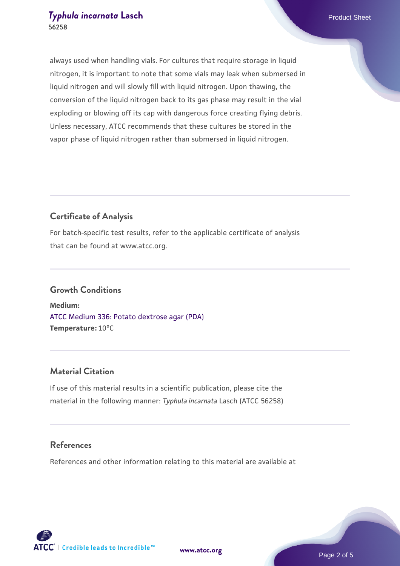always used when handling vials. For cultures that require storage in liquid nitrogen, it is important to note that some vials may leak when submersed in liquid nitrogen and will slowly fill with liquid nitrogen. Upon thawing, the conversion of the liquid nitrogen back to its gas phase may result in the vial exploding or blowing off its cap with dangerous force creating flying debris. Unless necessary, ATCC recommends that these cultures be stored in the vapor phase of liquid nitrogen rather than submersed in liquid nitrogen.

# **Certificate of Analysis**

For batch-specific test results, refer to the applicable certificate of analysis that can be found at www.atcc.org.

## **Growth Conditions**

**Medium:**  [ATCC Medium 336: Potato dextrose agar \(PDA\)](https://www.atcc.org/-/media/product-assets/documents/microbial-media-formulations/3/3/6/atcc-medium-336.pdf?rev=d9160ad44d934cd8b65175461abbf3b9) **Temperature:** 10°C

#### **Material Citation**

If use of this material results in a scientific publication, please cite the material in the following manner: *Typhula incarnata* Lasch (ATCC 56258)

#### **References**

References and other information relating to this material are available at



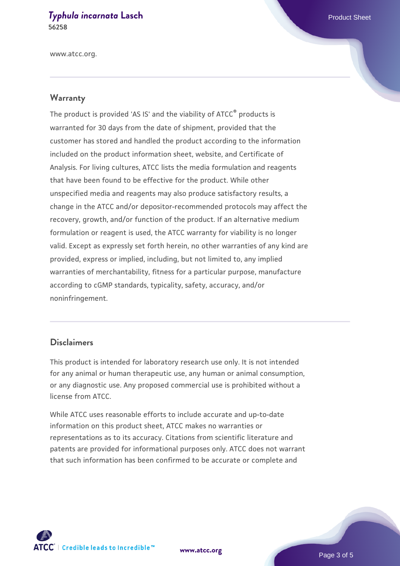www.atcc.org.

#### **Warranty**

The product is provided 'AS IS' and the viability of ATCC® products is warranted for 30 days from the date of shipment, provided that the customer has stored and handled the product according to the information included on the product information sheet, website, and Certificate of Analysis. For living cultures, ATCC lists the media formulation and reagents that have been found to be effective for the product. While other unspecified media and reagents may also produce satisfactory results, a change in the ATCC and/or depositor-recommended protocols may affect the recovery, growth, and/or function of the product. If an alternative medium formulation or reagent is used, the ATCC warranty for viability is no longer valid. Except as expressly set forth herein, no other warranties of any kind are provided, express or implied, including, but not limited to, any implied warranties of merchantability, fitness for a particular purpose, manufacture according to cGMP standards, typicality, safety, accuracy, and/or noninfringement.

#### **Disclaimers**

This product is intended for laboratory research use only. It is not intended for any animal or human therapeutic use, any human or animal consumption, or any diagnostic use. Any proposed commercial use is prohibited without a license from ATCC.

While ATCC uses reasonable efforts to include accurate and up-to-date information on this product sheet, ATCC makes no warranties or representations as to its accuracy. Citations from scientific literature and patents are provided for informational purposes only. ATCC does not warrant that such information has been confirmed to be accurate or complete and



**[www.atcc.org](http://www.atcc.org)**

Page 3 of 5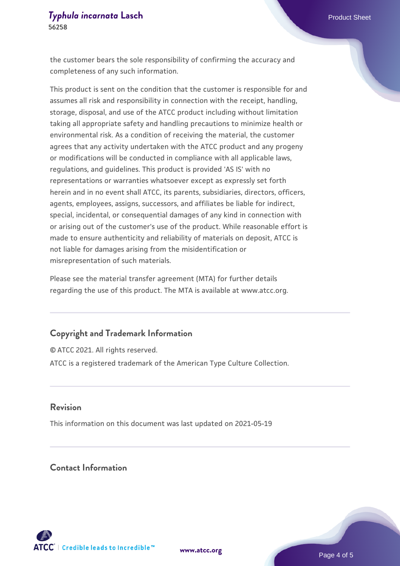the customer bears the sole responsibility of confirming the accuracy and completeness of any such information.

This product is sent on the condition that the customer is responsible for and assumes all risk and responsibility in connection with the receipt, handling, storage, disposal, and use of the ATCC product including without limitation taking all appropriate safety and handling precautions to minimize health or environmental risk. As a condition of receiving the material, the customer agrees that any activity undertaken with the ATCC product and any progeny or modifications will be conducted in compliance with all applicable laws, regulations, and guidelines. This product is provided 'AS IS' with no representations or warranties whatsoever except as expressly set forth herein and in no event shall ATCC, its parents, subsidiaries, directors, officers, agents, employees, assigns, successors, and affiliates be liable for indirect, special, incidental, or consequential damages of any kind in connection with or arising out of the customer's use of the product. While reasonable effort is made to ensure authenticity and reliability of materials on deposit, ATCC is not liable for damages arising from the misidentification or misrepresentation of such materials.

Please see the material transfer agreement (MTA) for further details regarding the use of this product. The MTA is available at www.atcc.org.

#### **Copyright and Trademark Information**

© ATCC 2021. All rights reserved. ATCC is a registered trademark of the American Type Culture Collection.

#### **Revision**

This information on this document was last updated on 2021-05-19

### **Contact Information**